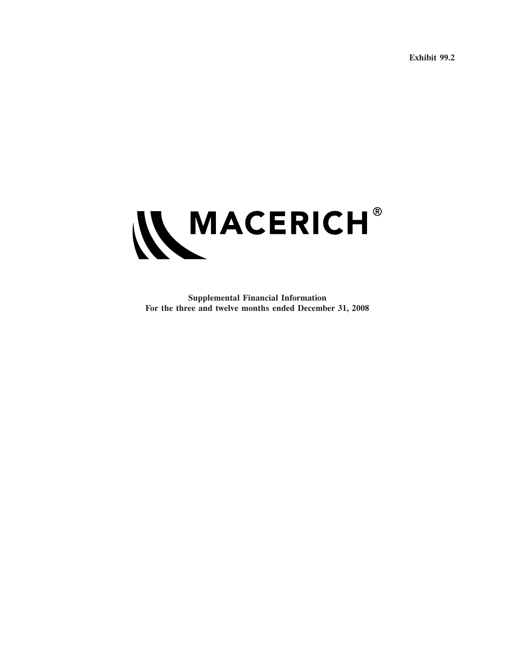**Exhibit 99.2**



**Supplemental Financial Information For the three and twelve months ended December 31, 2008**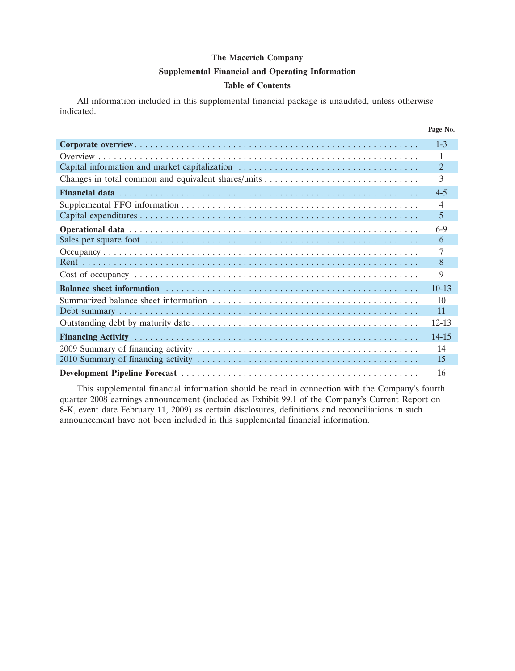#### **Supplemental Financial and Operating Information**

#### **Table of Contents**

All information included in this supplemental financial package is unaudited, unless otherwise indicated.

|                                               | Page No.       |
|-----------------------------------------------|----------------|
|                                               | $1 - 3$        |
|                                               | 1              |
| Capital information and market capitalization | $\overline{2}$ |
|                                               | 3              |
|                                               | $4 - 5$        |
|                                               | $\overline{4}$ |
|                                               | 5              |
|                                               | $6-9$          |
|                                               | 6              |
|                                               | 7              |
|                                               | 8              |
|                                               | 9              |
|                                               | $10-13$        |
|                                               | 10             |
|                                               | 11             |
|                                               | $12 - 13$      |
|                                               | 14-15          |
|                                               | 14             |
|                                               | 15             |
|                                               | 16             |

This supplemental financial information should be read in connection with the Company's fourth quarter 2008 earnings announcement (included as Exhibit 99.1 of the Company's Current Report on 8-K, event date February 11, 2009) as certain disclosures, definitions and reconciliations in such announcement have not been included in this supplemental financial information.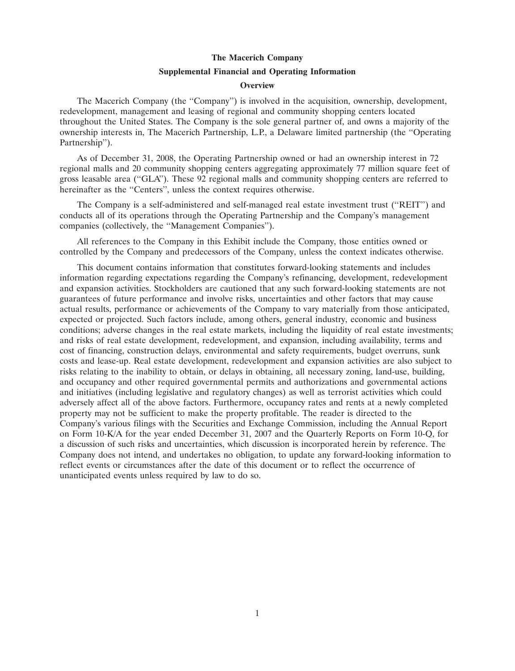#### **Supplemental Financial and Operating Information**

#### **Overview**

The Macerich Company (the ''Company'') is involved in the acquisition, ownership, development, redevelopment, management and leasing of regional and community shopping centers located throughout the United States. The Company is the sole general partner of, and owns a majority of the ownership interests in, The Macerich Partnership, L.P., a Delaware limited partnership (the ''Operating Partnership'').

As of December 31, 2008, the Operating Partnership owned or had an ownership interest in 72 regional malls and 20 community shopping centers aggregating approximately 77 million square feet of gross leasable area (''GLA''). These 92 regional malls and community shopping centers are referred to hereinafter as the "Centers", unless the context requires otherwise.

The Company is a self-administered and self-managed real estate investment trust (''REIT'') and conducts all of its operations through the Operating Partnership and the Company's management companies (collectively, the ''Management Companies'').

All references to the Company in this Exhibit include the Company, those entities owned or controlled by the Company and predecessors of the Company, unless the context indicates otherwise.

This document contains information that constitutes forward-looking statements and includes information regarding expectations regarding the Company's refinancing, development, redevelopment and expansion activities. Stockholders are cautioned that any such forward-looking statements are not guarantees of future performance and involve risks, uncertainties and other factors that may cause actual results, performance or achievements of the Company to vary materially from those anticipated, expected or projected. Such factors include, among others, general industry, economic and business conditions; adverse changes in the real estate markets, including the liquidity of real estate investments; and risks of real estate development, redevelopment, and expansion, including availability, terms and cost of financing, construction delays, environmental and safety requirements, budget overruns, sunk costs and lease-up. Real estate development, redevelopment and expansion activities are also subject to risks relating to the inability to obtain, or delays in obtaining, all necessary zoning, land-use, building, and occupancy and other required governmental permits and authorizations and governmental actions and initiatives (including legislative and regulatory changes) as well as terrorist activities which could adversely affect all of the above factors. Furthermore, occupancy rates and rents at a newly completed property may not be sufficient to make the property profitable. The reader is directed to the Company's various filings with the Securities and Exchange Commission, including the Annual Report on Form 10-K/A for the year ended December 31, 2007 and the Quarterly Reports on Form 10-Q, for a discussion of such risks and uncertainties, which discussion is incorporated herein by reference. The Company does not intend, and undertakes no obligation, to update any forward-looking information to reflect events or circumstances after the date of this document or to reflect the occurrence of unanticipated events unless required by law to do so.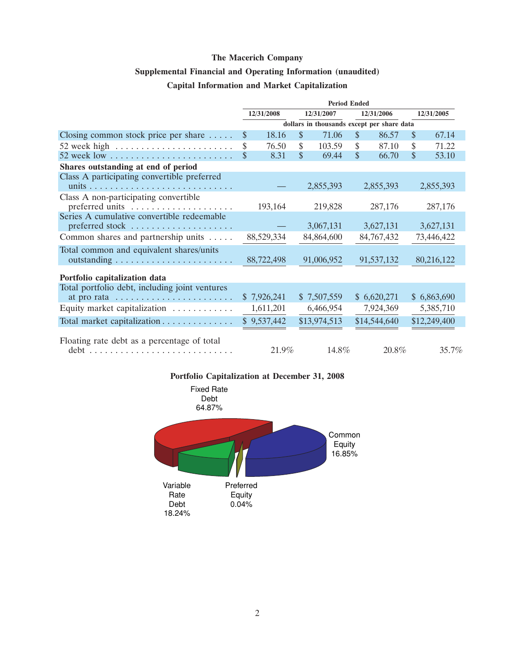# **Supplemental Financial and Operating Information (unaudited)**

| <b>Capital Information and Market Capitalization</b> |  |  |  |
|------------------------------------------------------|--|--|--|
|------------------------------------------------------|--|--|--|

|                                                               | <b>Period Ended</b> |             |         |                                            |              |              |         |              |  |         |
|---------------------------------------------------------------|---------------------|-------------|---------|--------------------------------------------|--------------|--------------|---------|--------------|--|---------|
|                                                               |                     | 12/31/2008  |         | 12/31/2007                                 |              | 12/31/2006   |         | 12/31/2005   |  |         |
|                                                               |                     |             |         | dollars in thousands except per share data |              |              |         |              |  |         |
| Closing common stock price per share $\dots$ .                | \$                  | 18.16       | \$      | 71.06                                      | $\mathbb{S}$ | 86.57        | \$      | 67.14        |  |         |
| 52 week high $\dots \dots \dots \dots \dots \dots \dots$      | \$                  | 76.50       | \$      | 103.59                                     | \$           | 87.10        | \$      | 71.22        |  |         |
| 52 week low $\dots \dots \dots \dots \dots \dots \dots \dots$ | \$                  | 8.31        | \$      | 69.44                                      | \$           | 66.70        | \$      | 53.10        |  |         |
| Shares outstanding at end of period                           |                     |             |         |                                            |              |              |         |              |  |         |
| Class A participating convertible preferred                   |                     |             |         | 2,855,393                                  |              | 2,855,393    |         | 2,855,393    |  |         |
| Class A non-participating convertible<br>preferred units      |                     | 193,164     | 219,828 |                                            |              |              | 287,176 |              |  | 287,176 |
| Series A cumulative convertible redeemable                    |                     |             |         | 3,067,131                                  |              | 3,627,131    |         | 3,627,131    |  |         |
| Common shares and partnership units                           |                     | 88,529,334  |         | 84,864,600                                 |              | 84,767,432   |         | 73,446,422   |  |         |
| Total common and equivalent shares/units                      |                     | 88,722,498  |         | 91,006,952                                 |              | 91,537,132   |         | 80,216,122   |  |         |
| Portfolio capitalization data                                 |                     |             |         |                                            |              |              |         |              |  |         |
| Total portfolio debt, including joint ventures                |                     |             |         |                                            |              |              |         |              |  |         |
|                                                               |                     | \$7,926,241 |         | \$7,507,559                                |              | \$6,620,271  |         | \$6,863,690  |  |         |
| Equity market capitalization                                  |                     | 1,611,201   |         | 6,466,954                                  |              | 7,924,369    |         | 5,385,710    |  |         |
| Total market capitalization                                   |                     | \$9,537,442 |         | \$13,974,513                               |              | \$14,544,640 |         | \$12,249,400 |  |         |
| Floating rate debt as a percentage of total                   |                     | 21.9%       |         | 14.8%                                      |              | 20.8%        |         | 35.7%        |  |         |

**Portfolio Capitalization at December 31, 2008**

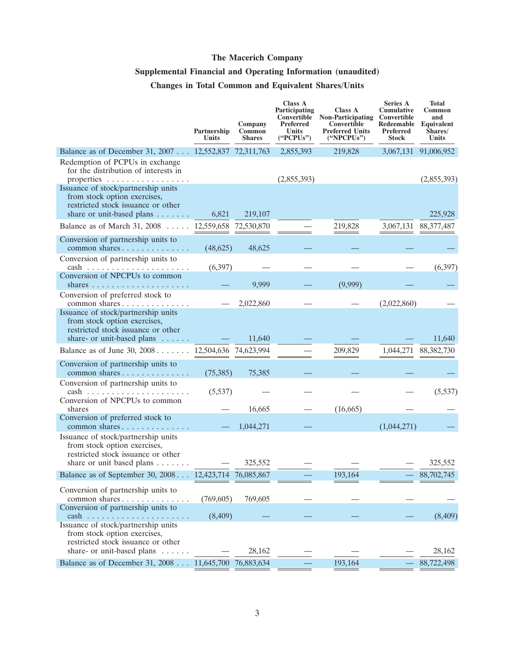### **Supplemental Financial and Operating Information (unaudited)**

### **Changes in Total Common and Equivalent Shares/Units**

|                                                                                                                                | Partnership<br>Units | Company<br>Common<br><b>Shares</b> | <b>Class A</b><br>Participating<br>Convertible<br>Preferred<br><b>Units</b><br>("PCPUs") | Class A<br><b>Non-Participating</b><br>Convertible<br><b>Preferred Units</b><br>("NPCPUs") | <b>Series A</b><br><b>Cumulative</b><br>Convertible<br>Redeemable<br>Preferred<br><b>Stock</b> | <b>Total</b><br>Common<br>and<br>Equivalent<br>Shares/<br>Units |
|--------------------------------------------------------------------------------------------------------------------------------|----------------------|------------------------------------|------------------------------------------------------------------------------------------|--------------------------------------------------------------------------------------------|------------------------------------------------------------------------------------------------|-----------------------------------------------------------------|
| Balance as of December 31, 2007 12,552,837 72,311,763                                                                          |                      |                                    | 2,855,393                                                                                | 219,828                                                                                    |                                                                                                | 3,067,131 91,006,952                                            |
| Redemption of PCPUs in exchange<br>for the distribution of interests in<br>properties<br>Issuance of stock/partnership units   |                      |                                    | (2,855,393)                                                                              |                                                                                            |                                                                                                | (2,855,393)                                                     |
| from stock option exercises,<br>restricted stock issuance or other<br>share or unit-based plans $\dots \dots$ 6,821            |                      | 219,107                            |                                                                                          |                                                                                            |                                                                                                | 225,928                                                         |
| Balance as of March 31, 2008 12,559,658 72,530,870                                                                             |                      |                                    |                                                                                          | 219,828                                                                                    |                                                                                                | 3,067,131 88,377,487                                            |
| Conversion of partnership units to<br>common shares                                                                            | (48,625)             | 48,625                             |                                                                                          |                                                                                            |                                                                                                |                                                                 |
| Conversion of partnership units to<br>$cash \dots \dots \dots \dots \dots \dots \dots \dots$                                   | (6,397)              |                                    |                                                                                          |                                                                                            |                                                                                                | (6, 397)                                                        |
| Conversion of NPCPUs to common                                                                                                 |                      | 9,999                              |                                                                                          | (9,999)                                                                                    |                                                                                                |                                                                 |
| Conversion of preferred stock to<br>common shares                                                                              |                      | 2,022,860                          |                                                                                          |                                                                                            | (2,022,860)                                                                                    |                                                                 |
| Issuance of stock/partnership units<br>from stock option exercises,<br>restricted stock issuance or other                      |                      |                                    |                                                                                          |                                                                                            |                                                                                                |                                                                 |
| share- or unit-based plans $\dots \dots$<br>Balance as of June 30, 2008 12,504,636 74,623,994                                  |                      | 11,640                             |                                                                                          | 209,829                                                                                    | 1,044,271                                                                                      | 11,640<br>88, 382, 730                                          |
| Conversion of partnership units to                                                                                             |                      |                                    |                                                                                          |                                                                                            |                                                                                                |                                                                 |
| common shares                                                                                                                  | (75,385)             | 75,385                             |                                                                                          |                                                                                            |                                                                                                |                                                                 |
| Conversion of partnership units to<br>$cash \dots \dots \dots \dots \dots \dots \dots \dots$<br>Conversion of NPCPUs to common | (5, 537)             |                                    |                                                                                          |                                                                                            |                                                                                                | (5, 537)                                                        |
| shares                                                                                                                         |                      | 16,665                             |                                                                                          | (16,665)                                                                                   |                                                                                                |                                                                 |
| Conversion of preferred stock to<br>common shares                                                                              |                      | 1,044,271                          |                                                                                          |                                                                                            | (1,044,271)                                                                                    |                                                                 |
| Issuance of stock/partnership units<br>from stock option exercises,<br>restricted stock issuance or other                      |                      |                                    |                                                                                          |                                                                                            |                                                                                                |                                                                 |
| share or unit based plans $\dots \dots$                                                                                        |                      | 325,552                            |                                                                                          |                                                                                            |                                                                                                | 325,552                                                         |
| Balance as of September 30, 2008 12,423,714 76,085,867                                                                         |                      |                                    |                                                                                          | 193,164                                                                                    |                                                                                                | 88,702,745                                                      |
| Conversion of partnership units to<br>common shares                                                                            | (769, 605)           | 769,605                            |                                                                                          |                                                                                            |                                                                                                |                                                                 |
| Conversion of partnership units to<br>$cash \dots \dots \dots \dots \dots$                                                     | (8,409)              |                                    |                                                                                          |                                                                                            |                                                                                                | (8,409)                                                         |
| Issuance of stock/partnership units<br>from stock option exercises,<br>restricted stock issuance or other                      |                      |                                    |                                                                                          |                                                                                            |                                                                                                |                                                                 |
| share- or unit-based plans                                                                                                     |                      | 28,162                             |                                                                                          |                                                                                            |                                                                                                | 28,162                                                          |
| Balance as of December 31, 2008 11,645,700 76,883,634                                                                          |                      |                                    |                                                                                          | 193,164                                                                                    |                                                                                                | 88,722,498                                                      |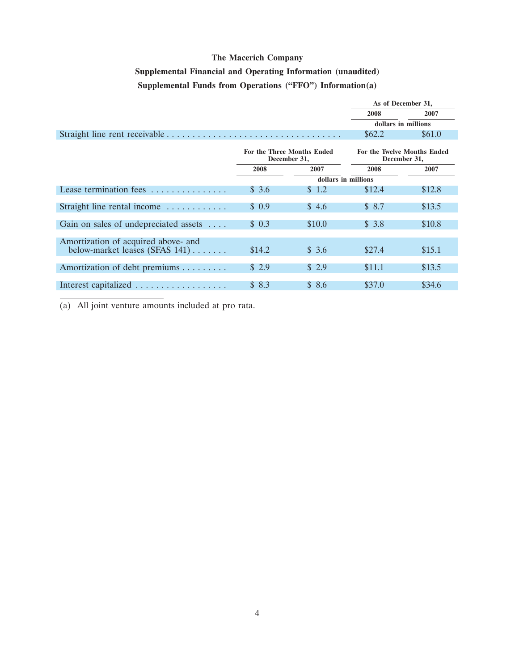### **Supplemental Financial and Operating Information (unaudited) Supplemental Funds from Operations (''FFO'') Information(a)**

|                                                                       |        |                                            | As of December 31,  |                                             |
|-----------------------------------------------------------------------|--------|--------------------------------------------|---------------------|---------------------------------------------|
|                                                                       |        |                                            | 2008                | 2007                                        |
|                                                                       |        |                                            |                     | dollars in millions                         |
|                                                                       |        |                                            | \$62.2\$            | \$61.0                                      |
|                                                                       |        | For the Three Months Ended<br>December 31, |                     | For the Twelve Months Ended<br>December 31, |
|                                                                       | 2008   | 2007                                       | 2008                | 2007                                        |
|                                                                       |        |                                            | dollars in millions |                                             |
| Lease termination fees $\ldots$ ,,,,,,,,,,,,,                         | \$3.6  | \$ 1.2                                     | \$12.4              | \$12.8                                      |
| Straight line rental income                                           | \$0.9  | \$4.6                                      | \$8.7               | \$13.5                                      |
| Gain on sales of undepreciated assets                                 | \$0.3  | \$10.0                                     | \$3.8               | \$10.8                                      |
|                                                                       |        |                                            |                     |                                             |
| Amortization of acquired above- and<br>below-market leases (SFAS 141) | \$14.2 | \$3.6                                      | \$27.4              | \$15.1                                      |
| Amortization of debt premiums                                         | \$2.9  | \$ 2.9                                     | \$11.1              | \$13.5                                      |
| Interest capitalized                                                  | \$8.3  | \$8.6                                      | \$37.0              | \$34.6                                      |

(a) All joint venture amounts included at pro rata.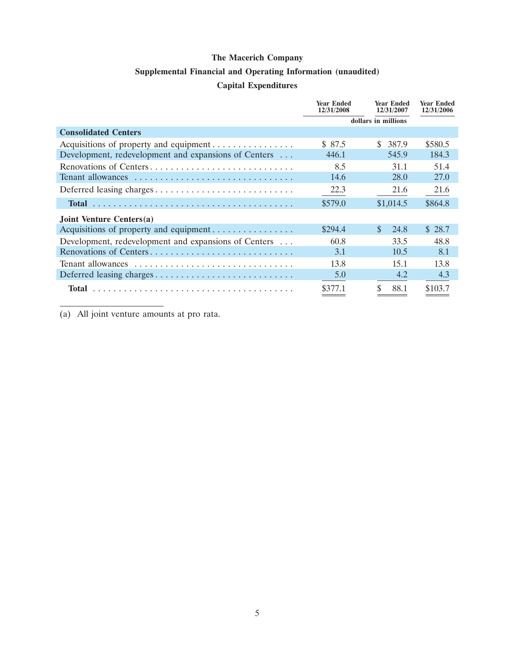### **Supplemental Financial and Operating Information (unaudited)**

### **Capital Expenditures**

|                                                      | <b>Year Ended</b><br>12/31/2008 | <b>Year Ended</b><br>12/31/2007 | <b>Year Ended</b><br>12/31/2006 |
|------------------------------------------------------|---------------------------------|---------------------------------|---------------------------------|
|                                                      |                                 | dollars in millions             |                                 |
| <b>Consolidated Centers</b>                          |                                 |                                 |                                 |
| Acquisitions of property and equipment               | \$ 87.5                         | \$<br>387.9                     | \$580.5                         |
| Development, redevelopment and expansions of Centers | 446.1                           | 545.9                           | 184.3                           |
| Renovations of Centers                               | 8.5                             | 31.1                            | 51.4                            |
| Tenant allowances                                    | 14.6                            | 28.0                            | 27.0                            |
| Deferred leasing charges                             | 22.3                            | 21.6                            | 21.6                            |
|                                                      | \$579.0                         | \$1,014.5                       | \$864.8                         |
| Joint Venture Centers(a)                             |                                 |                                 |                                 |
| Acquisitions of property and equipment               | \$294.4                         | $\mathcal{S}$<br>24.8           | \$28.7                          |
| Development, redevelopment and expansions of Centers | 60.8                            | 33.5                            | 48.8                            |
| Renovations of Centers                               | 3.1                             | 10.5                            | 8.1                             |
| Tenant allowances                                    | 13.8                            | 15.1                            | 13.8                            |
| Deferred leasing charges                             | 5.0                             | 4.2                             | 4.3                             |
|                                                      | \$377.1                         | \$<br>88.1                      | \$103.7                         |

(a) All joint venture amounts at pro rata.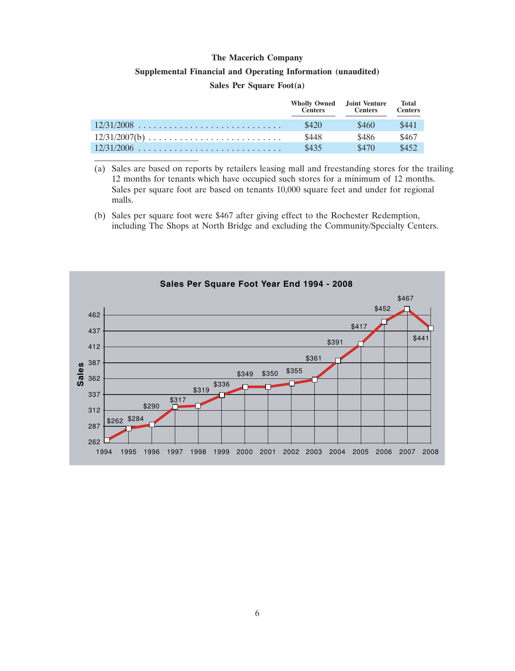## **Supplemental Financial and Operating Information (unaudited)**

#### **Sales Per Square Foot(a)**

|                 | <b>Wholly Owned</b> Joint Venture<br><b>Centers</b> | <b>Centers</b> | Total<br><b>Centers</b> |
|-----------------|-----------------------------------------------------|----------------|-------------------------|
|                 | \$420                                               | \$460          | \$441                   |
| $12/31/2007(b)$ | \$448                                               | \$486          | \$467                   |
|                 | \$435                                               | \$470          | \$452                   |

(a) Sales are based on reports by retailers leasing mall and freestanding stores for the trailing 12 months for tenants which have occupied such stores for a minimum of 12 months. Sales per square foot are based on tenants 10,000 square feet and under for regional malls.

(b) Sales per square foot were \$467 after giving effect to the Rochester Redemption, including The Shops at North Bridge and excluding the Community/Specialty Centers.

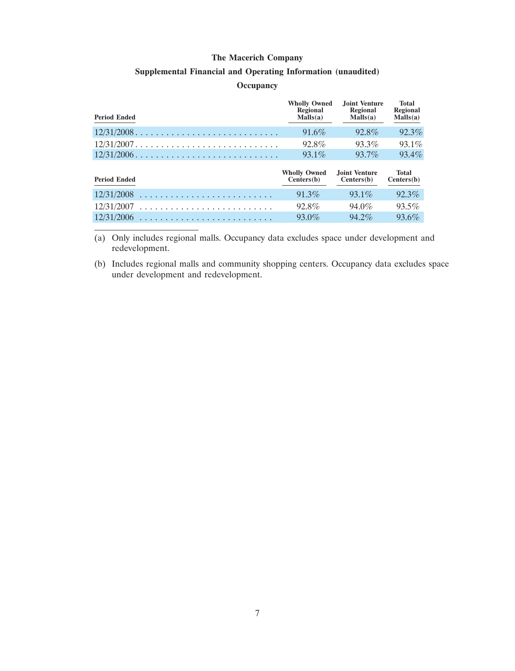#### **Supplemental Financial and Operating Information (unaudited)**

#### **Occupancy**

| <b>Wholly Owned</b><br>Regional<br>Malls(a) | Joint Venture<br>Regional<br>Malls(a) | <b>Total</b><br>Regional<br>$M$ alls $(a)$ |
|---------------------------------------------|---------------------------------------|--------------------------------------------|
| $91.6\%$                                    | 92.8%                                 | 92.3%                                      |
| 92.8%                                       | 93.3%                                 | 93.1%                                      |
| $93.1\%$                                    | 93.7%                                 | $93.4\%$                                   |
|                                             |                                       |                                            |
| <b>Wholly Owned</b><br>Centers(b)           | Joint Venture<br>Centers(b)           | <b>Total</b><br>Centers(b)                 |
| $91.3\%$                                    | $93.1\%$                              | $92.3\%$                                   |
| 92.8%                                       | 94.0%                                 | $93.5\%$                                   |
|                                             |                                       |                                            |

(a) Only includes regional malls. Occupancy data excludes space under development and redevelopment.

(b) Includes regional malls and community shopping centers. Occupancy data excludes space under development and redevelopment.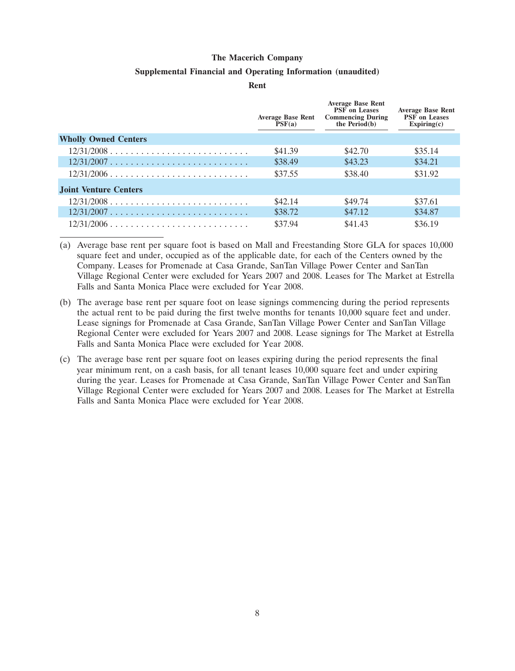#### **Supplemental Financial and Operating Information (unaudited)**

**Rent**

|                              | <b>Average Base Rent</b><br>PSF(a) | <b>Average Base Rent</b><br><b>PSF</b> on Leases<br><b>Commencing During</b><br>the $Period(b)$ | <b>Average Base Rent</b><br><b>PSF</b> on Leases<br>Expiring(c) |
|------------------------------|------------------------------------|-------------------------------------------------------------------------------------------------|-----------------------------------------------------------------|
| <b>Wholly Owned Centers</b>  |                                    |                                                                                                 |                                                                 |
| $12/31/2008$                 | \$41.39                            | \$42.70                                                                                         | \$35.14                                                         |
| $12/31/2007$                 | \$38.49                            | \$43.23                                                                                         | \$34.21                                                         |
| $12/31/2006$                 | \$37.55                            | \$38.40                                                                                         | \$31.92                                                         |
| <b>Joint Venture Centers</b> |                                    |                                                                                                 |                                                                 |
| $12/31/2008$                 | \$42.14                            | \$49.74                                                                                         | \$37.61                                                         |
| $12/31/2007$                 | \$38.72                            | \$47.12                                                                                         | \$34.87                                                         |
| $12/31/2006$                 | \$37.94                            | \$41.43                                                                                         | \$36.19                                                         |

(a) Average base rent per square foot is based on Mall and Freestanding Store GLA for spaces 10,000 square feet and under, occupied as of the applicable date, for each of the Centers owned by the Company. Leases for Promenade at Casa Grande, SanTan Village Power Center and SanTan Village Regional Center were excluded for Years 2007 and 2008. Leases for The Market at Estrella Falls and Santa Monica Place were excluded for Year 2008.

- (b) The average base rent per square foot on lease signings commencing during the period represents the actual rent to be paid during the first twelve months for tenants 10,000 square feet and under. Lease signings for Promenade at Casa Grande, SanTan Village Power Center and SanTan Village Regional Center were excluded for Years 2007 and 2008. Lease signings for The Market at Estrella Falls and Santa Monica Place were excluded for Year 2008.
- (c) The average base rent per square foot on leases expiring during the period represents the final year minimum rent, on a cash basis, for all tenant leases 10,000 square feet and under expiring during the year. Leases for Promenade at Casa Grande, SanTan Village Power Center and SanTan Village Regional Center were excluded for Years 2007 and 2008. Leases for The Market at Estrella Falls and Santa Monica Place were excluded for Year 2008.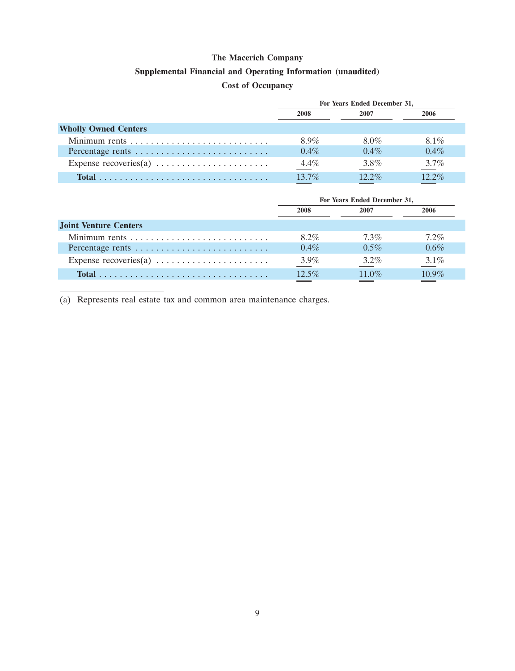### **Supplemental Financial and Operating Information (unaudited)**

### **Cost of Occupancy**

|                                                                   | For Years Ended December 31, |          |          |  |  |
|-------------------------------------------------------------------|------------------------------|----------|----------|--|--|
|                                                                   | 2008                         | 2007     | 2006     |  |  |
| <b>Wholly Owned Centers</b>                                       |                              |          |          |  |  |
|                                                                   | 89%                          | 8.0%     | 8.1%     |  |  |
| Percentage rents                                                  | $0.4\%$                      | $0.4\%$  | $0.4\%$  |  |  |
| Expense recoveries(a) $\dots \dots \dots \dots \dots \dots \dots$ | $4.4\%$                      | 3.8%     | $3.7\%$  |  |  |
|                                                                   | $137\%$                      | $12.2\%$ | $12.2\%$ |  |  |

|                                                                   | For Years Ended December 31, |                          |          |  |
|-------------------------------------------------------------------|------------------------------|--------------------------|----------|--|
|                                                                   | 2008                         | 2007                     | 2006     |  |
| <b>Joint Venture Centers</b>                                      |                              |                          |          |  |
|                                                                   | $8.2\%$                      | $7.3\%$                  | $7.2\%$  |  |
| Percentage rents                                                  | $0.4\%$                      | $0.5\%$                  | $0.6\%$  |  |
| Expense recoveries(a) $\dots \dots \dots \dots \dots \dots \dots$ | $3.9\%$                      | $3.2\%$                  | $3.1\%$  |  |
|                                                                   | $12.5\%$                     | $11.0\%$                 | $10.9\%$ |  |
|                                                                   |                              | <b>Contract Contract</b> |          |  |

(a) Represents real estate tax and common area maintenance charges.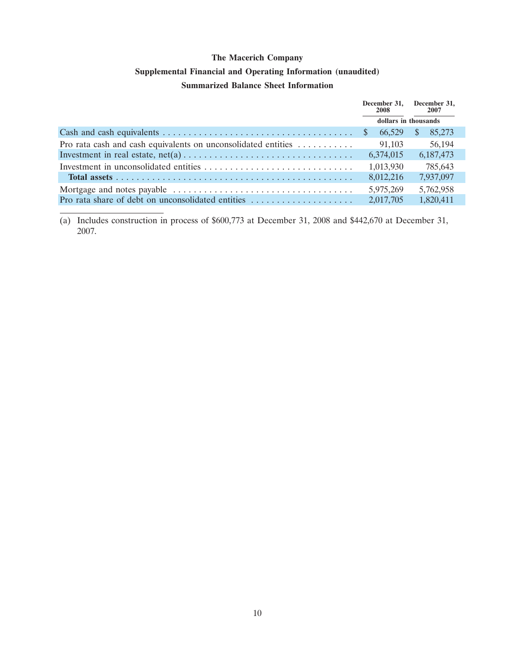## **Supplemental Financial and Operating Information (unaudited)**

### **Summarized Balance Sheet Information**

|                                                               |                      | December 31, December 31,<br>2008 |               | 2007      |
|---------------------------------------------------------------|----------------------|-----------------------------------|---------------|-----------|
|                                                               | dollars in thousands |                                   |               |           |
|                                                               |                      | 66.529                            | <sup>\$</sup> | 85,273    |
| Pro rata cash and cash equivalents on unconsolidated entities |                      | 91,103                            |               | 56,194    |
|                                                               |                      | 6,374,015                         |               | 6,187,473 |
|                                                               |                      | 1,013,930                         |               | 785,643   |
|                                                               |                      | 8,012,216                         |               | 7,937,097 |
|                                                               |                      | 5.975.269                         |               | 5,762,958 |
| Pro rata share of debt on unconsolidated entities             |                      | 2,017,705                         |               | 1,820,411 |

(a) Includes construction in process of \$600,773 at December 31, 2008 and \$442,670 at December 31, 2007.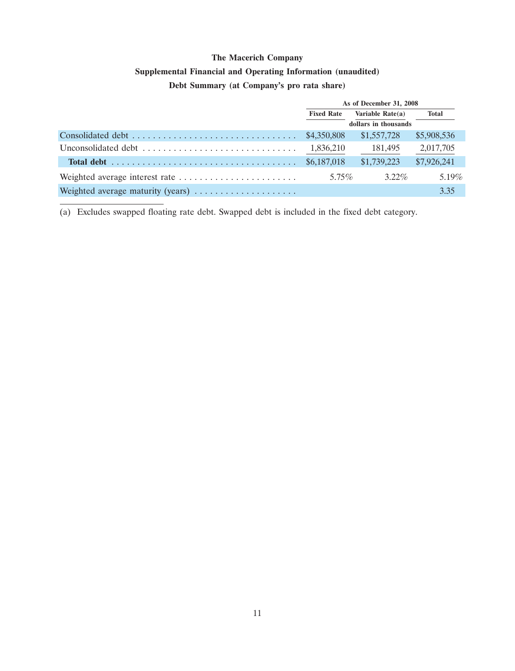### **Supplemental Financial and Operating Information (unaudited)**

### **Debt Summary (at Company's pro rata share)**

|                                                                                           | As of December 31, 2008 |             |             |  |  |  |
|-------------------------------------------------------------------------------------------|-------------------------|-------------|-------------|--|--|--|
|                                                                                           | <b>Fixed Rate</b>       | Total       |             |  |  |  |
|                                                                                           | dollars in thousands    |             |             |  |  |  |
|                                                                                           | \$4,350,808             | \$1,557,728 | \$5,908,536 |  |  |  |
| Unconsolidated debt $\ldots, \ldots, \ldots, \ldots, \ldots, \ldots, \ldots, \ldots$      | 1,836,210               | 181,495     | 2,017,705   |  |  |  |
| Total debt $\ldots \ldots \ldots \ldots \ldots \ldots \ldots \ldots \ldots \ldots \ldots$ | \$6,187,018             | \$1,739,223 | \$7,926,241 |  |  |  |
|                                                                                           | 5.75%                   | $3.22\%$    | $5.19\%$    |  |  |  |
| Weighted average maturity (years)                                                         |                         |             | 3.35        |  |  |  |

(a) Excludes swapped floating rate debt. Swapped debt is included in the fixed debt category.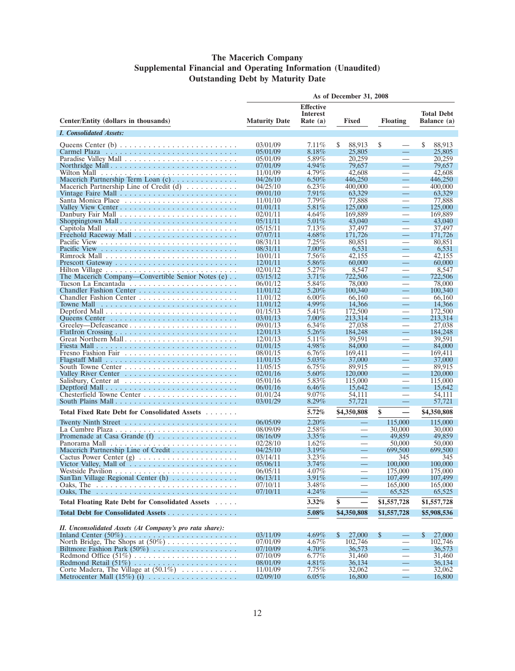#### **The Macerich Company Supplemental Financial and Operating Information (Unaudited) Outstanding Debt by Maturity Date**

|                                                                              | As of December 31, 2008             |                      |                          |                                        |                        |  |  |
|------------------------------------------------------------------------------|-------------------------------------|----------------------|--------------------------|----------------------------------------|------------------------|--|--|
|                                                                              | <b>Effective</b><br><b>Interest</b> |                      |                          |                                        | <b>Total Debt</b>      |  |  |
| Center/Entity (dollars in thousands)                                         | <b>Maturity Date</b>                | Rate $(a)$           | Fixed<br><b>Floating</b> |                                        | Balance (a)            |  |  |
| <i>I. Consolidated Assets:</i>                                               |                                     |                      |                          |                                        |                        |  |  |
|                                                                              | 03/01/09                            | 7.11%                | 88,913<br>S              | \$                                     | S<br>88,913            |  |  |
|                                                                              | 05/01/09                            | 8.18%                | 25,805                   | $\equiv$                               | 25,805                 |  |  |
|                                                                              | 05/01/09                            | 5.89%                | 20,259                   |                                        | 20,259                 |  |  |
|                                                                              | 07/01/09                            | $4.94\%$<br>4.79%    | 79,657<br>42,608         | $\equiv$<br>$\overline{\phantom{0}}$   | 79,657<br>42,608       |  |  |
| Macerich Partnership Term Loan (c)                                           | 11/01/09<br>04/26/10                | $6.50\%$             | 446,250                  | $\equiv$                               | 446,250                |  |  |
| Macerich Partnership Line of Credit $(d)$                                    | 04/25/10                            | $6.23\%$             | 400,000                  |                                        | 400,000                |  |  |
| Vintage Faire Mall $\ldots \ldots \ldots \ldots \ldots \ldots \ldots \ldots$ | 09/01/10                            | 7.91%                | 63,329                   |                                        | 63.329                 |  |  |
|                                                                              | 11/01/10                            | 7.79%                | 77,888                   |                                        | 77,888                 |  |  |
|                                                                              | 01/01/11                            | 5.81\%               | 125,000                  | $\equiv$                               | 125,000                |  |  |
|                                                                              | 02/01/11                            | $4.64\%$             | 169,889                  |                                        | 169,889                |  |  |
|                                                                              | 05/11/11                            | $5.01\%$             | 43,040                   | $\equiv$                               | 43,040                 |  |  |
|                                                                              | 05/15/11                            | $7.13\%$<br>$4.68\%$ | 37,497                   | $\overline{\phantom{0}}$               | 37,497                 |  |  |
|                                                                              | 07/07/11<br>08/31/11                | 7.25%                | 171,726<br>80,851        | $\equiv$                               | 171,726<br>80,851      |  |  |
|                                                                              | 08/31/11                            | $7.00\%$             | 6,531                    | $\equiv$                               | 6,531                  |  |  |
|                                                                              | 10/01/11                            | 7.56%                | 42,155                   | $\overline{\phantom{0}}$               | 42.155                 |  |  |
|                                                                              | 12/01/11                            | 5.86%                | 60,000                   | $\equiv$                               | 60,000                 |  |  |
|                                                                              | 02/01/12                            | 5.27%                | 8,547                    |                                        | 8,547                  |  |  |
| The Macerich Company—Convertible Senior Notes (e)                            | 03/15/12                            | $3.71\%$             | 722,506                  | —                                      | 722,506                |  |  |
|                                                                              | 06/01/12                            | 5.84%                | 78,000                   |                                        | 78,000                 |  |  |
|                                                                              | 11/01/12                            | $5.20\%$             | 100,340                  | $\equiv$                               | 100,340                |  |  |
|                                                                              | 11/01/12                            | $6.00\%$             | 66,160                   | $\overline{\phantom{0}}$<br>$\equiv$   | 66,160<br>14,366       |  |  |
|                                                                              | 11/01/12<br>01/15/13                | $4.99\%$<br>5.41%    | 14,366<br>172,500        |                                        | 172,500                |  |  |
|                                                                              | 03/01/13                            | $7.00\%$             | 213.314                  | $\equiv$                               | 213.314                |  |  |
|                                                                              | 09/01/13                            | $6.34\%$             | 27,038                   |                                        | 27,038                 |  |  |
|                                                                              | 12/01/13                            | 5.26%                | 184,248                  | $\equiv$                               | 184,248                |  |  |
| Great Northern Mall                                                          | 12/01/13                            | 5.11\%               | 39.591                   |                                        | 39.591                 |  |  |
|                                                                              | 01/01/15                            | 4.98%                | 84,000                   | $\equiv$                               | 84,000                 |  |  |
|                                                                              | 08/01/15                            | $6.76\%$             | 169,411                  |                                        | 169,411                |  |  |
|                                                                              | 11/01/15                            | 5.03%                | 37,000                   | $\overline{\phantom{a}}$               | 37,000                 |  |  |
|                                                                              | 11/05/15                            | $6.75\%$<br>$5.60\%$ | 89,915                   | $\equiv$                               | 89,915                 |  |  |
| Salisbury, Center at                                                         | 02/01/16<br>05/01/16                | 5.83%                | 120,000<br>115,000       | $\overline{\phantom{0}}$               | 120,000<br>115,000     |  |  |
|                                                                              | 06/01/16                            | $6.46\%$             | 15,642                   | Ξ,                                     | 15,642                 |  |  |
|                                                                              | 01/01/24                            | $9.07\%$             | 54,111                   | $\overline{\phantom{0}}$               | 54,111                 |  |  |
|                                                                              | 03/01/29                            | $8.29\%$             | 57,721                   | —                                      | 57,721                 |  |  |
| Total Fixed Rate Debt for Consolidated Assets                                |                                     | 5.72%                | \$4,350,808              | \$<br>$\overbrace{\phantom{12322111}}$ | \$4,350,808            |  |  |
|                                                                              |                                     | 2.20%                |                          |                                        |                        |  |  |
| Twenty Ninth Street $\dots \dots \dots \dots \dots \dots \dots \dots$        | 06/05/09<br>08/09/09                | 2.58%                | $\overline{\phantom{0}}$ | 115,000<br>30,000                      | 115,000<br>30,000      |  |  |
|                                                                              | 08/16/09                            | $3.35\%$             | $\equiv$                 | 49,859                                 | 49,859                 |  |  |
|                                                                              | 02/28/10                            | $1.62\%$             | $\overline{\phantom{0}}$ | 50,000                                 | 50,000                 |  |  |
| Macerich Partnership Line of Credit                                          | 04/25/10                            | $3.19\%$             | $\equiv$                 | 699,500                                | 699,500                |  |  |
|                                                                              | 03/14/11                            | $3.23\%$             |                          | 345                                    | 345                    |  |  |
| Victor Valley, Mall of                                                       | 05/06/11                            | 3.74%                | $\overline{\phantom{0}}$ | 100,000                                | 100,000                |  |  |
|                                                                              | 06/05/11                            | $4.07\%$             |                          | 175,000                                | 175,000                |  |  |
| SanTan Village Regional Center (h)                                           | 06/13/11                            | $3.91\%$             |                          | 107,499                                | 107,499                |  |  |
| Oaks, The                                                                    | 07/10/11                            | 3.48%                |                          | 165,000                                | 165,000                |  |  |
| Oaks, The                                                                    | 07/10/11                            | 4.24%                |                          | 65,525                                 | 65,525                 |  |  |
| Total Floating Rate Debt for Consolidated Assets                             |                                     | 3.32%                | \$                       | \$1,557,728                            | \$1,557,728            |  |  |
| Total Debt for Consolidated Assets                                           |                                     | 5.08%                | \$4,350,808              | \$1,557,728                            | \$5,908,536            |  |  |
| II. Unconsolidated Assets (At Company's pro rata share):                     |                                     |                      |                          |                                        |                        |  |  |
|                                                                              | 03/11/09                            | $4.69\%$             | $\mathbb{S}$<br>27,000   | \$<br>$\overline{\phantom{0}}$         | $\mathbb{S}$<br>27,000 |  |  |
| North Bridge, The Shops at $(50\%)$                                          | 07/01/09                            | $4.67\%$             | 102,746                  | $\overbrace{\qquad \qquad }^{}$        | 102,746                |  |  |
|                                                                              | 07/10/09                            | 4.70%                | 36,573                   | $\equiv$                               | 36,573                 |  |  |
|                                                                              | 07/10/09                            | $6.77\%$             | 31,460                   | $\qquad \qquad$                        | 31,460                 |  |  |
|                                                                              | 08/01/09                            | $4.81\%$             | 36,134                   |                                        | 36,134                 |  |  |
| Corte Madera, The Village at (50.1%)                                         | 11/01/09                            | 7.75%                | 32,062                   |                                        | 32,062                 |  |  |
| Metrocenter Mall $(15\%)$ (i)                                                | 02/09/10                            | $6.05\%$             | 16,800                   | $\qquad \qquad -$                      | 16,800                 |  |  |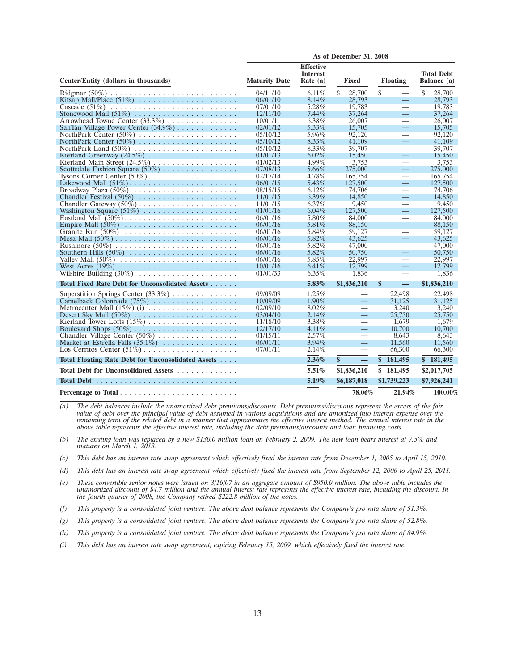|                                                    | As of December 31, 2008 |                                                   |                                |                                           |                                  |  |  |
|----------------------------------------------------|-------------------------|---------------------------------------------------|--------------------------------|-------------------------------------------|----------------------------------|--|--|
| Center/Entity (dollars in thousands)               | <b>Maturity Date</b>    | <b>Effective</b><br><b>Interest</b><br>Rate $(a)$ | Fixed                          | <b>Floating</b>                           | <b>Total Debt</b><br>Balance (a) |  |  |
|                                                    | 04/11/10                | $6.11\%$                                          | \$<br>28,700                   | \$<br>$\overline{\phantom{0}}$            | \$<br>28,700                     |  |  |
|                                                    | 06/01/10                | $8.14\%$                                          | 28,793                         | $\equiv$                                  | 28,793                           |  |  |
|                                                    | 07/01/10                | 5.28%                                             | 19.783                         | $\overline{\phantom{0}}$                  | 19.783                           |  |  |
| Stonewood Mall $(51\%)$                            | 12/11/10                | $7.44\%$                                          | 37,264                         | $\equiv$                                  | 37,264                           |  |  |
| Arrowhead Towne Center (33.3%)                     | 10/01/11                | 6.38%                                             | 26,007                         | $\equiv$                                  | 26,007                           |  |  |
| SanTan Village Power Center $(34.9\%)$             | 02/01/12                | $5.33\%$                                          | 15,705                         | $\equiv$                                  | 15,705                           |  |  |
|                                                    | 05/10/12                | 5.96%                                             | 92,120                         | $\equiv$                                  | 92,120                           |  |  |
|                                                    | 05/10/12                | $8.33\%$                                          | 41.109                         | $\equiv$                                  | 41.109                           |  |  |
|                                                    | 05/10/12                | 8.33%                                             | 39,707                         |                                           | 39,707                           |  |  |
|                                                    | 01/01/13                | $6.02\%$                                          | 15,450                         | $\equiv$                                  | 15,450                           |  |  |
| Kierland Main Street (24.5%)                       | 01/02/13                | 4.99%                                             | 3,753                          |                                           | 3,753                            |  |  |
| Scottsdale Fashion Square $(50\%)$                 | 07/08/13                | 5.66%                                             | 275,000                        | $\qquad \qquad -$                         | 275,000                          |  |  |
|                                                    | 02/17/14                | 4.78%                                             | 165,754                        | $\overbrace{\phantom{aaaaa}}$             | 165,754                          |  |  |
|                                                    | 06/01/15                | 5.43%                                             | 127,500                        | $\equiv$                                  | 127,500                          |  |  |
|                                                    | 08/15/15                | 6.12%<br>$6.39\%$                                 | 74,706<br>14.850               | $\overbrace{\phantom{aaaaa}}$<br>$\equiv$ | 74,706<br>14.850                 |  |  |
| Chandler Festival $(50\%)$                         | 11/01/15                | 6.37%                                             | 9.450                          |                                           | 9.450                            |  |  |
|                                                    | 11/01/15<br>01/01/16    | $6.04\%$                                          | 127,500                        | $\qquad \qquad$<br>$\equiv$               | 127,500                          |  |  |
|                                                    | 06/01/16                | 5.80%                                             | 84,000                         | $\overbrace{\phantom{aaaaa}}$             | 84,000                           |  |  |
| Empire Mall $(50\%)$                               | 06/01/16                | 5.81\%                                            | 88,150                         | $\overline{\phantom{0}}$                  | 88,150                           |  |  |
|                                                    | 06/01/16                | 5.84%                                             | 59,127                         | $\overline{\phantom{0}}$                  | 59,127                           |  |  |
|                                                    | 06/01/16                | 5.82%                                             | 43.625                         |                                           | 43.625                           |  |  |
|                                                    | 06/01/16                | 5.82%                                             | 47,000                         | $\overbrace{\phantom{aaaaa}}$             | 47,000                           |  |  |
|                                                    | 06/01/16                | 5.82%                                             | 50,750                         | Ξ,                                        | 50,750                           |  |  |
|                                                    | 06/01/16                | 5.85%                                             | 22,997                         | $\overbrace{\phantom{aaaaa}}$             | 22,997                           |  |  |
|                                                    | 10/01/16                | 6.41%                                             | 12,799                         | 二                                         | 12,799                           |  |  |
|                                                    | 01/01/33                | $6.35\%$                                          | 1,836                          |                                           | 1,836                            |  |  |
| Total Fixed Rate Debt for Unconsolidated Assets    |                         | 5.83%                                             | \$1,836,210                    | \$<br>$\overline{\phantom{m}}$            | \$1,836,210                      |  |  |
| Superstition Springs Center (33.3%)                | 09/09/09                | 1.25%                                             | $\overline{\phantom{0}}$       | 22,498                                    | 22,498                           |  |  |
|                                                    | 10/09/09                | $1.90\%$                                          | $\equiv$                       | 31,125                                    | 31,125                           |  |  |
| Metrocenter Mall $(15\%)$ (i)                      | 02/09/10                | $8.02\%$                                          | $\overline{\phantom{0}}$       | 3.240                                     | 3.240                            |  |  |
|                                                    | 03/04/10                | $2.14\%$                                          | $=$                            | 25,750                                    | 25,750                           |  |  |
|                                                    | 11/18/10                | 3.38%                                             | $\overline{\phantom{0}}$       | 1.679                                     | 1.679                            |  |  |
|                                                    | 12/17/10                | $4.11\%$                                          | Ξ,                             | 10,700                                    | 10,700                           |  |  |
| Chandler Village Center (50%)                      | 01/15/11                | $2.57\%$                                          |                                | 8.643                                     | 8.643                            |  |  |
|                                                    | 06/01/11                | $3.94\%$                                          | $\equiv$                       | 11,560                                    | 11,560                           |  |  |
| Los Cerritos Center $(51\%)$                       | 07/01/11                | 2.14%                                             |                                | 66,300                                    | 66,300                           |  |  |
| Total Floating Rate Debt for Unconsolidated Assets |                         | 2.36%                                             | \$<br>$\overline{\phantom{0}}$ | \$181,495                                 | \$181,495                        |  |  |
| Total Debt for Unconsolidated Assets               |                         | 5.51%                                             | \$1,836,210                    | \$181,495                                 | \$2,017,705                      |  |  |
|                                                    |                         | 5.19%                                             | \$6,187,018                    | \$1,739,223                               | \$7,926,241                      |  |  |
|                                                    |                         |                                                   | 78.06%                         | 21.94%                                    | 100.00%                          |  |  |

*(a) The debt balances include the unamortized debt premiums/discounts. Debt premiums/discounts represent the excess of the fair value of debt over the principal value of debt assumed in various acquisitions and are amortized into interest expense over the remaining term of the related debt in a manner that approximates the effective interest method. The annual interest rate in the above table represents the effective interest rate, including the debt premiums/discounts and loan financing costs.*

*(b) The existing loan was replaced by a new \$130.0 million loan on February 2, 2009. The new loan bears interest at 7.5% and matures on March 1, 2013.*

*(c) This debt has an interest rate swap agreement which effectively fixed the interest rate from December 1, 2005 to April 15, 2010.*

*(d) This debt has an interest rate swap agreement which effectively fixed the interest rate from September 12, 2006 to April 25, 2011.*

*(e) These convertible senior notes were issued on 3/16/07 in an aggregate amount of \$950.0 million. The above table includes the unamortized discount of \$4.7 million and the annual interest rate represents the effective interest rate, including the discount. In the fourth quarter of 2008, the Company retired \$222.8 million of the notes.*

*(f) This property is a consolidated joint venture. The above debt balance represents the Company's pro rata share of 51.3%.*

*(g) This property is a consolidated joint venture. The above debt balance represents the Company's pro rata share of 52.8%.*

*(h) This property is a consolidated joint venture. The above debt balance represents the Company's pro rata share of 84.9%.*

*(i) This debt has an interest rate swap agreement, expiring February 15, 2009, which effectively fixed the interest rate.*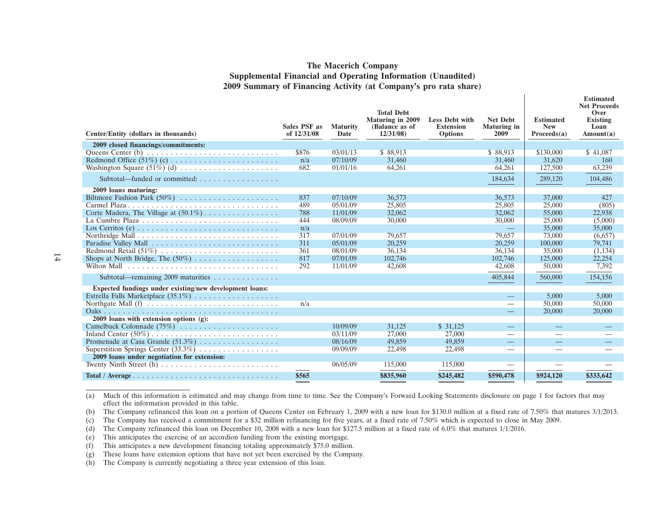#### **The Macerich Company Supplemental Financial and Operating Information (Unaudited) 2009 Summary of Financing Activity (at Company's pro rata share)**

| Center/Entity (dollars in thousands)                    | <b>Sales PSF as</b><br>of 12/31/08 | <b>Maturity</b><br>Date | <b>Total Debt</b><br><b>Maturing in 2009</b><br>(Balance as of<br>12/31/08 | <b>Less Debt with</b><br><b>Extension</b><br><b>Options</b> | <b>Net Debt</b><br><b>Maturing</b> in<br>2009 | <b>Estimated</b><br><b>New</b><br>Proceeds(a) | <b>Estimated</b><br><b>Net Proceeds</b><br>Over<br><b>Existing</b><br>Loan<br>Amount(a) |
|---------------------------------------------------------|------------------------------------|-------------------------|----------------------------------------------------------------------------|-------------------------------------------------------------|-----------------------------------------------|-----------------------------------------------|-----------------------------------------------------------------------------------------|
| 2009 closed financings/commitments:                     |                                    |                         |                                                                            |                                                             |                                               |                                               |                                                                                         |
|                                                         | \$876                              | 03/01/13                | \$88,913                                                                   |                                                             | \$88,913                                      | \$130,000                                     | \$41,087                                                                                |
|                                                         | n/a                                | 07/10/09                | 31,460                                                                     |                                                             | 31.460                                        | 31,620                                        | <b>160</b>                                                                              |
| Washington Square $(51\%)$ (d)                          | 682                                | 01/01/16                | 64,261                                                                     |                                                             | 64,261                                        | 127,500                                       | 63,239                                                                                  |
| Subtotal—funded or committed:                           |                                    |                         |                                                                            |                                                             | 184,634                                       | 289,120                                       | 104,486                                                                                 |
| 2009 loans maturing:                                    |                                    |                         |                                                                            |                                                             |                                               |                                               |                                                                                         |
|                                                         | 837                                | 07/10/09                | 36,573                                                                     |                                                             | 36,573                                        | 37,000                                        | 427                                                                                     |
|                                                         | 489                                | 05/01/09                | 25,805                                                                     |                                                             | 25,805                                        | 25,000                                        | (805)                                                                                   |
|                                                         | 788                                | 11/01/09                | 32,062                                                                     |                                                             | 32,062                                        | 55,000                                        | 22,938                                                                                  |
|                                                         | 444                                | 08/09/09                | 30,000                                                                     |                                                             | 30,000                                        | 25,000                                        | (5,000)                                                                                 |
|                                                         | n/a                                |                         |                                                                            |                                                             |                                               | 35,000                                        | 35,000                                                                                  |
|                                                         | 317                                | 07/01/09                | 79,657                                                                     |                                                             | 79,657                                        | 73,000                                        | (6,657)                                                                                 |
|                                                         | 311                                | 05/01/09                | 20,259                                                                     |                                                             | 20,259                                        | 100,000                                       | 79,741                                                                                  |
|                                                         | 361                                | 08/01/09                | 36.134                                                                     |                                                             | 36.134                                        | 35,000                                        | (1,134)                                                                                 |
|                                                         | 817                                | 07/01/09                | 102,746                                                                    |                                                             | 102,746                                       | 125,000                                       | 22,254                                                                                  |
|                                                         | 292                                | 11/01/09                | 42,608                                                                     |                                                             | 42,608                                        | 50,000                                        | 7,392                                                                                   |
| Subtotal—remaining 2009 maturities                      |                                    |                         |                                                                            |                                                             | 405,844                                       | 560,000                                       | 154,156                                                                                 |
| Expected fundings under existing/new development loans: |                                    |                         |                                                                            |                                                             |                                               |                                               |                                                                                         |
|                                                         |                                    |                         |                                                                            |                                                             |                                               | 5,000                                         | 5,000                                                                                   |
|                                                         | n/a                                |                         |                                                                            |                                                             |                                               | 50,000                                        | 50,000                                                                                  |
|                                                         |                                    |                         |                                                                            |                                                             |                                               | 20,000                                        | 20,000                                                                                  |
| 2009 loans with extension options $(g)$ :               |                                    |                         |                                                                            |                                                             |                                               |                                               |                                                                                         |
| Camelback Colonnade $(75\%)$                            |                                    | 10/09/09                | 31,125                                                                     | \$31,125                                                    |                                               |                                               |                                                                                         |
|                                                         |                                    | 03/11/09                | 27,000                                                                     | 27,000                                                      | -                                             |                                               |                                                                                         |
|                                                         |                                    | 08/16/09                | 49,859                                                                     | 49,859                                                      |                                               |                                               |                                                                                         |
| Superstition Springs Center (33.3%)                     |                                    | 09/09/09                | 22,498                                                                     | 22,498                                                      | $\overline{\phantom{0}}$                      |                                               |                                                                                         |
| 2009 loans under negotiation for extension:             |                                    |                         |                                                                            |                                                             |                                               |                                               |                                                                                         |
|                                                         |                                    | 06/05/09                | 115,000                                                                    | 115,000                                                     |                                               |                                               |                                                                                         |
|                                                         | \$565<br>$=$ $-$                   |                         | \$835,960                                                                  | \$245,482                                                   | \$590,478                                     | \$924,120                                     | \$333,642                                                                               |
|                                                         |                                    |                         |                                                                            |                                                             |                                               |                                               |                                                                                         |

(a) Much of this information is estimated and may change from time to time. See the Company's Forward Looking Statements disclosure on page 1 for factors that may effect the information provided in this table.

(b) The Company refinanced this loan on a portion of Queens Center on February 1, 2009 with a new loan for \$130.0 million at a fixed rate of 7.50% that matures 3/1/2013.

(c) The Company has received a commitment for a \$32 million refinancing for five years, at a fixed rate of 7.50% which is expected to close in May 2009.

(d) The Company refinanced this loan on December 10, 2008 with a new loan for \$127.5 million at a fixed rate of 6.0% that matures 1/1/2016.

(e) This anticipates the exercise of an accordion funding from the existing mortgage.

(f) This anticipates a new development financing totaling approximately \$75.0 million.

(g) These loans have extension options that have not yet been exercised by the Company.

(h) The Company is currently negotiating a three year extension of this loan.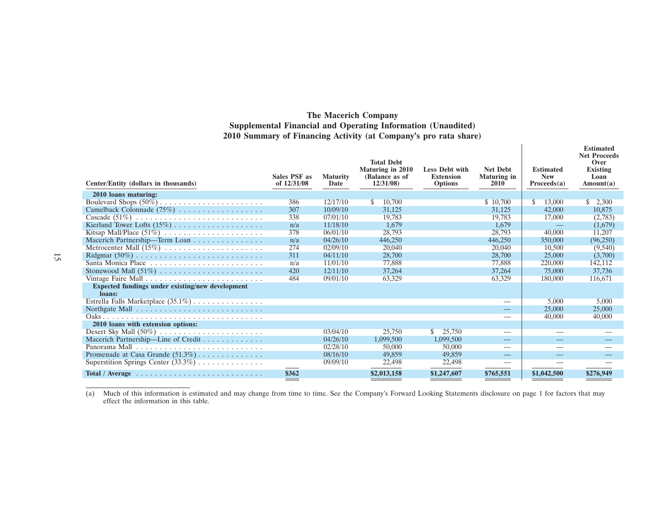#### **The Macerich Company Supplemental Financial and Operating Information (Unaudited) 2010 Summary of Financing Activity (at Company's pro rata share)**

| Center/Entity (dollars in thousands)                                      | <b>Sales PSF as</b><br>of 12/31/08 | <b>Maturity</b><br>Date | <b>Total Debt</b><br>Maturing in 2010<br>(Balance as of<br>12/31/08 | <b>Less Debt with</b><br><b>Extension</b><br><b>Options</b> | <b>Net Debt</b><br><b>Maturing in</b><br>2010 | <b>Estimated</b><br><b>New</b><br>Proceeds(a) | <b>Estimated</b><br><b>Net Proceeds</b><br>Over<br><b>Existing</b><br>Loan<br>Amount(a) |
|---------------------------------------------------------------------------|------------------------------------|-------------------------|---------------------------------------------------------------------|-------------------------------------------------------------|-----------------------------------------------|-----------------------------------------------|-----------------------------------------------------------------------------------------|
| 2010 loans maturing:                                                      |                                    |                         |                                                                     |                                                             |                                               |                                               |                                                                                         |
|                                                                           | 386                                | 12/17/10                | 10,700<br>\$.                                                       |                                                             | \$10,700                                      | S<br>13,000                                   | 2,300                                                                                   |
|                                                                           | 307                                | 10/09/10                | 31,125                                                              |                                                             | 31,125                                        | 42,000                                        | 10,875                                                                                  |
|                                                                           | 338                                | 07/01/10                | 19.783                                                              |                                                             | 19.783                                        | 17,000                                        | (2,783)                                                                                 |
|                                                                           | n/a                                | 11/18/10                | 1,679                                                               |                                                             | 1.679                                         |                                               | (1,679)                                                                                 |
|                                                                           | 378                                | 06/01/10                | 28,793                                                              |                                                             | 28,793                                        | 40,000                                        | 11,207                                                                                  |
| Macerich Partnership—Term Loan                                            | n/a                                | 04/26/10                | 446,250                                                             |                                                             | 446,250                                       | 350,000                                       | (96,250)                                                                                |
| Metrocenter Mall (15%)                                                    | 274                                | 02/09/10                | 20,040                                                              |                                                             | 20,040                                        | 10.500                                        | (9,540)                                                                                 |
|                                                                           | 311                                | 04/11/10                | 28,700                                                              |                                                             | 28,700                                        | 25,000                                        | (3,700)                                                                                 |
| Santa Monica Place                                                        | n/a                                | 11/01/10                | 77,888                                                              |                                                             | 77,888                                        | 220,000                                       | 142,112                                                                                 |
|                                                                           | 420                                | 12/11/10                | 37,264                                                              |                                                             | 37,264                                        | 75,000                                        | 37,736                                                                                  |
|                                                                           | 484                                | 09/01/10                | 63,329                                                              |                                                             | 63,329                                        | 180,000                                       | 116,671                                                                                 |
| Expected fundings under existing/new development<br>loans:                |                                    |                         |                                                                     |                                                             |                                               |                                               |                                                                                         |
| Estrella Falls Marketplace $(35.1\%) \dots \dots \dots \dots$             |                                    |                         |                                                                     |                                                             |                                               | 5,000                                         | 5,000                                                                                   |
| Northgate Mall $\ldots \ldots \ldots \ldots \ldots \ldots \ldots \ldots$  |                                    |                         |                                                                     |                                                             |                                               | 25,000                                        | 25,000                                                                                  |
|                                                                           |                                    |                         |                                                                     |                                                             |                                               | 40,000                                        | 40,000                                                                                  |
| 2010 loans with extension options:                                        |                                    |                         |                                                                     |                                                             |                                               |                                               |                                                                                         |
|                                                                           |                                    | 03/04/10                | 25,750                                                              | 25,750<br>S.                                                |                                               |                                               |                                                                                         |
| Macerich Partnership-Line of Credit                                       |                                    | 04/26/10                | 1,099,500                                                           | 1,099,500                                                   |                                               |                                               |                                                                                         |
|                                                                           |                                    | 02/28/10                | 50,000                                                              | 50,000                                                      |                                               |                                               |                                                                                         |
| Promenade at Casa Grande $(51.3\%)$                                       |                                    | 08/16/10                | 49,859                                                              | 49.859                                                      |                                               |                                               |                                                                                         |
| Superstition Springs Center (33.3%)                                       |                                    | 09/09/10                | 22,498                                                              | 22,498                                                      |                                               |                                               |                                                                                         |
| Total / Average $\ldots \ldots \ldots \ldots \ldots \ldots \ldots \ldots$ | \$362                              |                         | \$2,013,158                                                         | \$1,247,607                                                 | \$765,551                                     | \$1,042,500                                   | \$276,949                                                                               |

(a) Much of this information is estimated and may change from time to time. See the Company's Forward Looking Statements disclosure on page 1 for factors that may effect the information in this table.